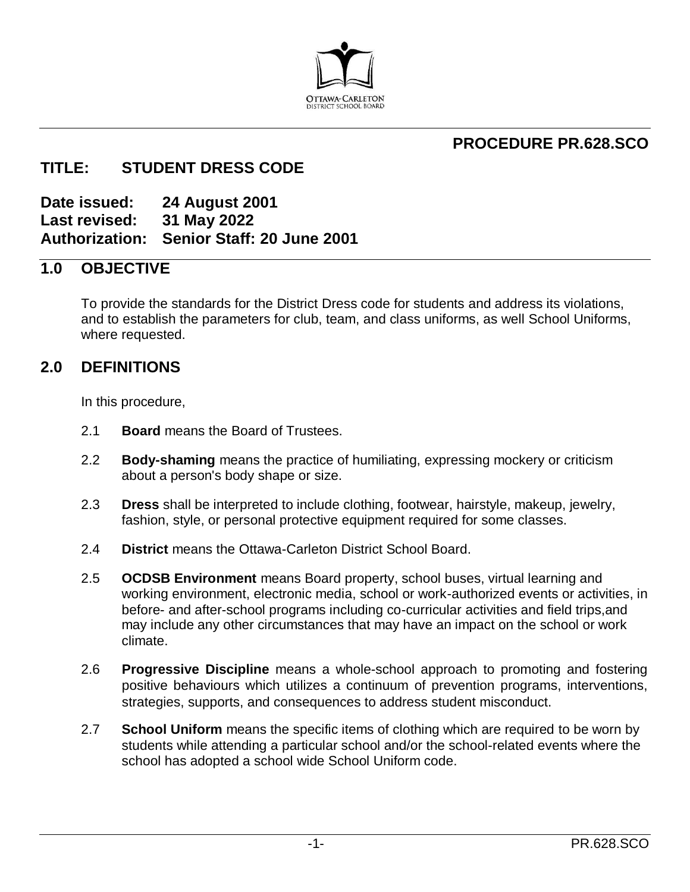

# **PROCEDURE PR.628.SCO**

# **TITLE: STUDENT DRESS CODE**

**Date issued: 24 August 2001 Last revised: 31 May 2022 Authorization: Senior Staff: 20 June 2001** 

## **1.0 OBJECTIVE**

To provide the standards for the District Dress code for students and address its violations, and to establish the parameters for club, team, and class uniforms, as well School Uniforms, where requested.

## **2.0 DEFINITIONS**

In this procedure,

- 2.1 **Board** means the Board of Trustees.
- 2.2 **Body-shaming** means the practice of humiliating, expressing mockery or criticism about a person's body shape or size.
- 2.3 **Dress** shall be interpreted to include clothing, footwear, hairstyle, makeup, jewelry, fashion, style, or personal protective equipment required for some classes.
- 2.4 **District** means the Ottawa-Carleton District School Board.
- 2.5 **OCDSB Environment** means Board property, school buses, virtual learning and working environment, electronic media, school or work-authorized events or activities, in before- and after-school programs including co-curricular activities and field trips,and may include any other circumstances that may have an impact on the school or work climate.
- 2.6 **Progressive Discipline** means a whole-school approach to promoting and fostering positive behaviours which utilizes a continuum of prevention programs, interventions, strategies, supports, and consequences to address student misconduct.
- 2.7 **School Uniform** means the specific items of clothing which are required to be worn by students while attending a particular school and/or the school-related events where the school has adopted a school wide School Uniform code.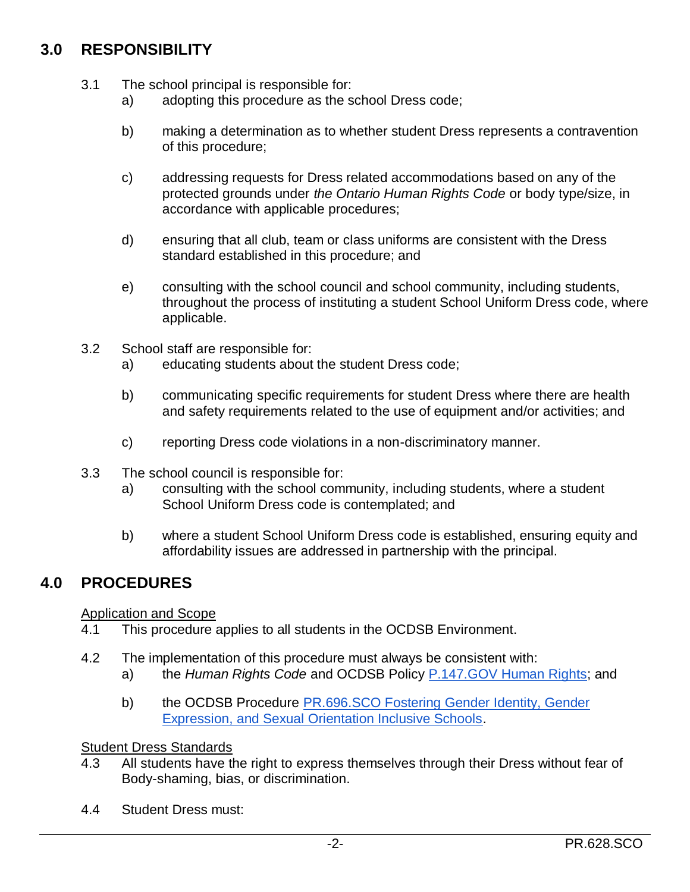# **3.0 RESPONSIBILITY**

- 3.1 The school principal is responsible for:
	- a) adopting this procedure as the school Dress code;
	- b) making a determination as to whether student Dress represents a contravention of this procedure;
	- c) addressing requests for Dress related accommodations based on any of the protected grounds under *the Ontario Human Rights Code* or body type/size, in accordance with applicable procedures;
	- d) ensuring that all club, team or class uniforms are consistent with the Dress standard established in this procedure; and
	- e) consulting with the school council and school community, including students, throughout the process of instituting a student School Uniform Dress code, where applicable.
- 3.2 School staff are responsible for:
	- a) educating students about the student Dress code;
	- b) communicating specific requirements for student Dress where there are health and safety requirements related to the use of equipment and/or activities; and
	- c) reporting Dress code violations in a non-discriminatory manner.
- 3.3 The school council is responsible for:
	- a) consulting with the school community, including students, where a student School Uniform Dress code is contemplated; and
	- b) where a student School Uniform Dress code is established, ensuring equity and affordability issues are addressed in partnership with the principal.

# **4.0 PROCEDURES**

#### Application and Scope

- 4.1 This procedure applies to all students in the OCDSB Environment.
- 4.2 The implementation of this procedure must always be consistent with:
	- a) the *Human Rights Code* and OCDSB Policy [P.147.GOV Human Rights;](https://weblink.ocdsb.ca/WebLink/ElectronicFile.aspx?docid=7258252&dbid=0&repo=OCDSB) and
	- b) the OCDSB Procedure **PR.696.SCO Fostering Gender Identity**, Gender [Expression, and Sexual Orientation Inclusive Schools.](https://weblink.ocdsb.ca/WebLink/ElectronicFile.aspx?docid=7305736&dbid=0&repo=OCDSB)

#### **Student Dress Standards**

- 4.3 All students have the right to express themselves through their Dress without fear of Body-shaming, bias, or discrimination.
- 4.4 Student Dress must: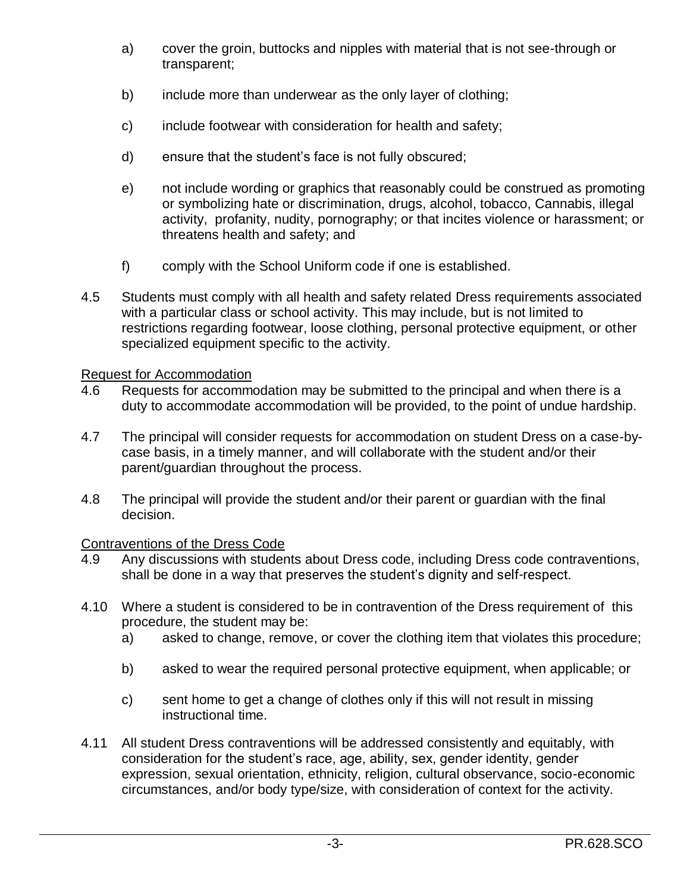- a) cover the groin, buttocks and nipples with material that is not see-through or transparent;
- b) include more than underwear as the only layer of clothing;
- c) include footwear with consideration for health and safety;
- d) ensure that the student's face is not fully obscured;
- e) not include wording or graphics that reasonably could be construed as promoting or symbolizing hate or discrimination, drugs, alcohol, tobacco, Cannabis, illegal activity, profanity, nudity, pornography; or that incites violence or harassment; or threatens health and safety; and
- f) comply with the School Uniform code if one is established.
- 4.5 Students must comply with all health and safety related Dress requirements associated with a particular class or school activity. This may include, but is not limited to restrictions regarding footwear, loose clothing, personal protective equipment, or other specialized equipment specific to the activity.

## Request for Accommodation

- 4.6 Requests for accommodation may be submitted to the principal and when there is a duty to accommodate accommodation will be provided, to the point of undue hardship.
- 4.7 The principal will consider requests for accommodation on student Dress on a case-bycase basis, in a timely manner, and will collaborate with the student and/or their parent/guardian throughout the process.
- 4.8 The principal will provide the student and/or their parent or guardian with the final decision.

## Contraventions of the Dress Code

- 4.9 Any discussions with students about Dress code, including Dress code contraventions, shall be done in a way that preserves the student's dignity and self-respect.
- 4.10 Where a student is considered to be in contravention of the Dress requirement of this procedure, the student may be:
	- a) asked to change, remove, or cover the clothing item that violates this procedure;
	- b) asked to wear the required personal protective equipment, when applicable; or
	- c) sent home to get a change of clothes only if this will not result in missing instructional time.
- 4.11 All student Dress contraventions will be addressed consistently and equitably, with consideration for the student's race, age, ability, sex, gender identity, gender expression, sexual orientation, ethnicity, religion, cultural observance, socio-economic circumstances, and/or body type/size, with consideration of context for the activity.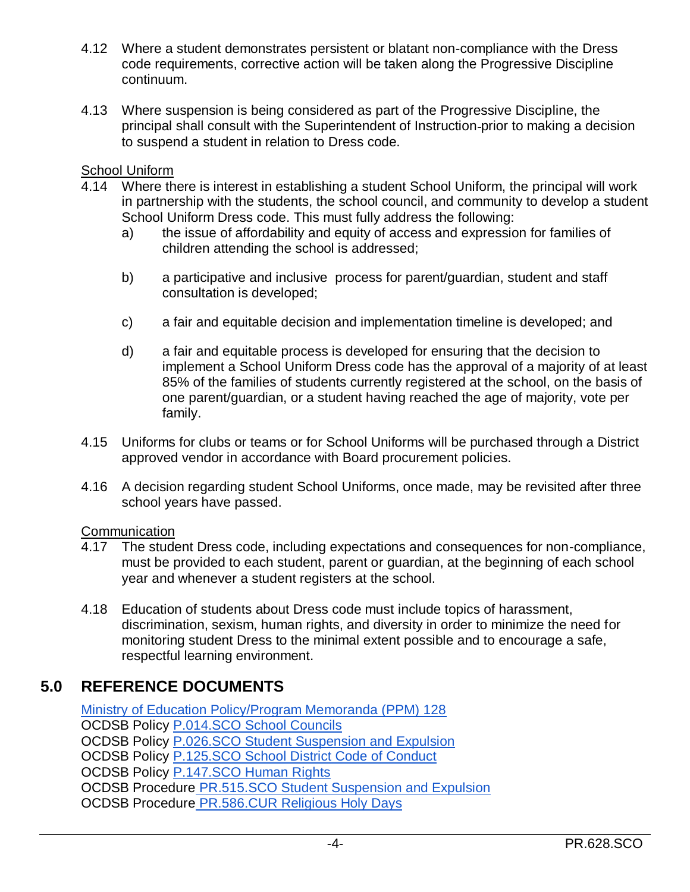- 4.12 Where a student demonstrates persistent or blatant non-compliance with the Dress code requirements, corrective action will be taken along the Progressive Discipline continuum.
- 4.13 Where suspension is being considered as part of the Progressive Discipline, the principal shall consult with the Superintendent of Instruction prior to making a decision to suspend a student in relation to Dress code.

## School Uniform

- 4.14 Where there is interest in establishing a student School Uniform, the principal will work in partnership with the students, the school council, and community to develop a student School Uniform Dress code. This must fully address the following:
	- a) the issue of affordability and equity of access and expression for families of children attending the school is addressed;
	- b) a participative and inclusive process for parent/guardian, student and staff consultation is developed;
	- c) a fair and equitable decision and implementation timeline is developed; and
	- d) a fair and equitable process is developed for ensuring that the decision to implement a School Uniform Dress code has the approval of a majority of at least 85% of the families of students currently registered at the school, on the basis of one parent/guardian, or a student having reached the age of majority, vote per family.
- 4.15 Uniforms for clubs or teams or for School Uniforms will be purchased through a District approved vendor in accordance with Board procurement policies.
- 4.16 A decision regarding student School Uniforms, once made, may be revisited after three school years have passed.

## **Communication**

- 4.17 The student Dress code, including expectations and consequences for non-compliance, must be provided to each student, parent or guardian, at the beginning of each school year and whenever a student registers at the school.
- 4.18 Education of students about Dress code must include topics of harassment, discrimination, sexism, human rights, and diversity in order to minimize the need for monitoring student Dress to the minimal extent possible and to encourage a safe, respectful learning environment.

## **5.0 REFERENCE DOCUMENTS**

[Ministry of Education Policy/Program Memoranda \(PPM\) 128](https://www.ontario.ca/document/education-ontario-policy-and-program-direction/policyprogram-memorandum-128) OCDSB Policy P.014.SCO [School Councils](https://weblink.ocdsb.ca/WebLink/DocView.aspx?id=2008630&dbid=0&repo=OCDSB) OCDSB Policy [P.026.SCO Student Suspension and Expulsion](https://weblink.ocdsb.ca/WebLink/ElectronicFile.aspx?docid=2776456&dbid=0&repo=OCDSB) OCDSB Policy [P.125.SCO School District Code of Conduct](https://weblink.ocdsb.ca/WebLink/ElectronicFile.aspx?docid=2008666&dbid=0&repo=OCDSB) OCDSB Policy **P.147.SCO Human Rights** OCDSB Procedure [PR.515.SCO Student Suspension and Expulsion](https://weblink.ocdsb.ca/WebLink/ElectronicFile.aspx?docid=2008797&dbid=0&repo=OCDSB) OCDSB Procedure PR.586.CUR [Religious Holy Days](https://weblink.ocdsb.ca/WebLink/DocView.aspx?id=2781805&dbid=0&repo=OCDSB)